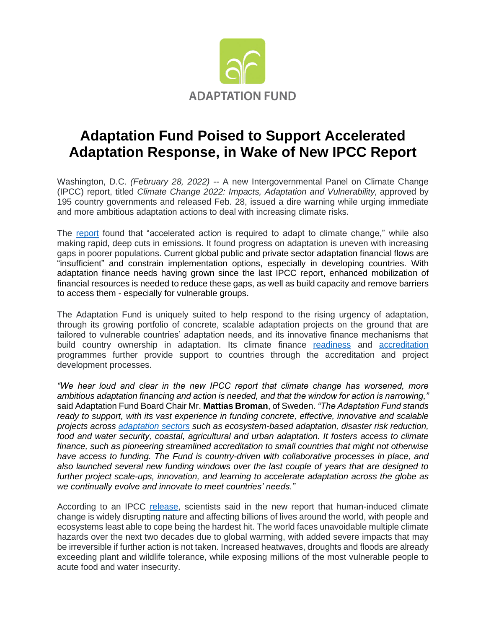

## **Adaptation Fund Poised to Support Accelerated Adaptation Response, in Wake of New IPCC Report**

Washington, D.C. *(February 28, 2022)* -- A new Intergovernmental Panel on Climate Change (IPCC) report, titled *Climate Change 2022: Impacts, Adaptation and Vulnerability,* approved by 195 country governments and released Feb. 28, issued a dire warning while urging immediate and more ambitious adaptation actions to deal with increasing climate risks.

The [report](https://report.ipcc.ch/ar6wg2/pdf/IPCC_AR6_WGII_FinalDraft_FullReport.pdf) found that "accelerated action is required to adapt to climate change," while also making rapid, deep cuts in emissions. It found progress on adaptation is uneven with increasing gaps in poorer populations. Current global public and private sector adaptation financial flows are "insufficient" and constrain implementation options, especially in developing countries. With adaptation finance needs having grown since the last IPCC report, enhanced mobilization of financial resources is needed to reduce these gaps, as well as build capacity and remove barriers to access them - especially for vulnerable groups.

The Adaptation Fund is uniquely suited to help respond to the rising urgency of adaptation, through its growing portfolio of concrete, scalable adaptation projects on the ground that are tailored to vulnerable countries' adaptation needs, and its innovative finance mechanisms that build country ownership in adaptation. Its climate finance [readiness](https://www.adaptation-fund.org/readiness/) and [accreditation](https://www.adaptation-fund.org/apply-funding/accreditation/) programmes further provide support to countries through the accreditation and project development processes.

*"We hear loud and clear in the new IPCC report that climate change has worsened, more ambitious adaptation financing and action is needed, and that the window for action is narrowing,"* said Adaptation Fund Board Chair Mr. **Mattias Broman**, of Sweden. *"The Adaptation Fund stands ready to support, with its vast experience in funding concrete, effective, innovative and scalable projects across [adaptation](https://www.adaptation-fund.org/pdfjs/web/viewer.html?file=https://www.adaptation-fund.org/wp-content/uploads/2018/04/AF-infographic-Eng-Sept2021-v4.pdf) sectors such as ecosystem-based adaptation, disaster risk reduction, food and water security, coastal, agricultural and urban adaptation. It fosters access to climate finance, such as pioneering streamlined accreditation to small countries that might not otherwise have access to funding. The Fund is country-driven with collaborative processes in place, and also launched several new funding windows over the last couple of years that are designed to further project scale-ups, innovation, and learning to accelerate adaptation across the globe as we continually evolve and innovate to meet countries' needs."*

According to an IPCC [release,](https://www.ipcc.ch/report/ar6/wg2/resources/press/press-release) scientists said in the new report that human-induced climate change is widely disrupting nature and affecting billions of lives around the world, with people and ecosystems least able to cope being the hardest hit. The world faces unavoidable multiple climate hazards over the next two decades due to global warming, with added severe impacts that may be irreversible if further action is not taken. Increased heatwaves, droughts and floods are already exceeding plant and wildlife tolerance, while exposing millions of the most vulnerable people to acute food and water insecurity.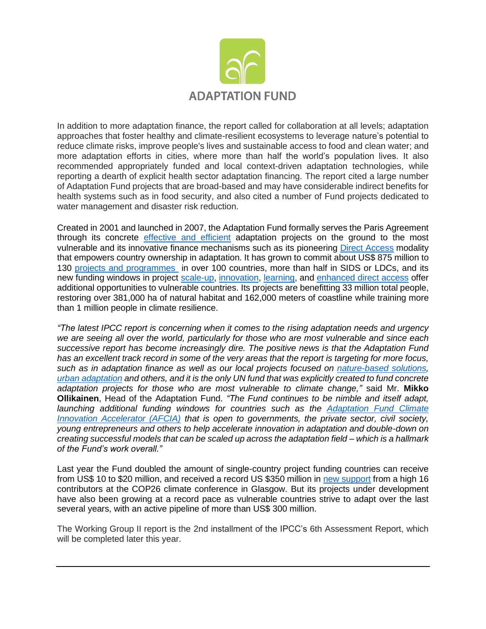

In addition to more adaptation finance, the report called for collaboration at all levels; adaptation approaches that foster healthy and climate-resilient ecosystems to leverage nature's potential to reduce climate risks, improve people's lives and sustainable access to food and clean water; and more adaptation efforts in cities, where more than half the world's population lives. It also recommended appropriately funded and local context-driven adaptation technologies, while reporting a dearth of explicit health sector adaptation financing. The report cited a large number of Adaptation Fund projects that are broad-based and may have considerable indirect benefits for health systems such as in food security, and also cited a number of Fund projects dedicated to water management and disaster risk reduction.

Created in 2001 and launched in 2007, the Adaptation Fund formally serves the Paris Agreement through its concrete [effective and efficient](https://www.adaptation-fund.org/phase-2-independent-evaluation-validates-adaptation-funds-relevance-efficiency-effectiveness/) adaptation projects on the ground to the most vulnerable and its innovative finance mechanisms such as its pioneering [Direct Access](https://www.adaptation-fund.org/about/direct-access/) modality that empowers country ownership in adaptation. It has grown to commit about US\$ 875 million to 130 projects [and programmes](https://www.adaptation-fund.org/projects-programmes/) in over 100 countries, more than half in SIDS or LDCs, and its new funding windows in project [scale-up,](https://www.adaptation-fund.org/readiness/readiness-grants/project-scale-grants/) [innovation,](https://www.adaptation-fund.org/apply-funding/innovation-grants/) [learning,](https://www.adaptation-fund.org/knowledge-learning/learning-grants/) and [enhanced direct access](https://www.adaptation-fund.org/apply-funding/enhanced-direct-access-eda-grants/) offer additional opportunities to vulnerable countries. Its projects are benefitting 33 million total people, restoring over 381,000 ha of natural habitat and 162,000 meters of coastline while training more than 1 million people in climate resilience.

*"The latest IPCC report is concerning when it comes to the rising adaptation needs and urgency we are seeing all over the world, particularly for those who are most vulnerable and since each successive report has become increasingly dire. The positive news is that the Adaptation Fund has an excellent track record in some of the very areas that the report is targeting for more focus, such as in adaptation finance as well as our local projects focused on [nature-based solutions,](https://www.adaptation-fund.org/pdfjs/web/viewer.html?file=https://www.adaptation-fund.org/wp-content/uploads/2021/05/Nature-Based-Solutions.pdf) [urban adaptation](https://www.adaptation-fund.org/pdfjs/web/viewer.html?file=https://www.adaptation-fund.org/wp-content/uploads/2018/07/Urban-Resilience2018-07.16.18-WEB.pdf) and others, and it is the only UN fund that was explicitly created to fund concrete adaptation projects for those who are most vulnerable to climate change,"* said Mr. **Mikko Ollikainen**, Head of the Adaptation Fund. *"The Fund continues to be nimble and itself adapt, launching additional funding windows for countries such as the [Adaptation Fund Climate](https://www.adaptation-fund.org/apply-funding/innovation-grants/adaptation-fund-climate-innovation-accelerator-afcia/)  [Innovation Accelerator \(AFCIA\)](https://www.adaptation-fund.org/apply-funding/innovation-grants/adaptation-fund-climate-innovation-accelerator-afcia/) that is open to governments, the private sector, civil society, young entrepreneurs and others to help accelerate innovation in adaptation and double-down on creating successful models that can be scaled up across the adaptation field – which is a hallmark of the Fund's work overall."*

Last year the Fund doubled the amount of single-country project funding countries can receive from US\$ 10 to \$20 million, and received a record US \$350 million in [new support](https://www.adaptation-fund.org/adaptation-fund-raises-record-us-356-million-in-new-pledges-at-cop26-for-its-concrete-actions-to-most-vulnerable/) from a high 16 contributors at the COP26 climate conference in Glasgow. But its projects under development have also been growing at a record pace as vulnerable countries strive to adapt over the last several years, with an active pipeline of more than US\$ 300 million.

The Working Group II report is the 2nd installment of the IPCC's 6th Assessment Report, which will be completed later this year.